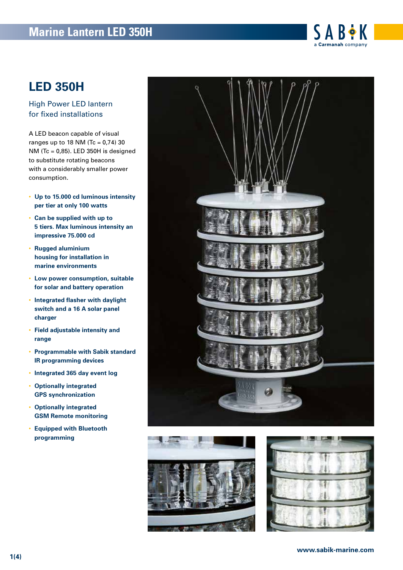# **Marine Lantern LED 350H**



## **LED 350H**

High Power LED lantern for fixed installations

A LED beacon capable of visual ranges up to 18 NM (Tc =  $0,74$ ) 30 NM (Tc =  $0.85$ ). LED 350H is designed to substitute rotating beacons with a considerably smaller power consumption.

- **Up to 15.000 cd luminous intensity per tier at only 100 watts**
- **Can be supplied with up to 5 tiers. Max luminous intensity an impressive 75.000 cd**
- **Rugged aluminium housing for installation in marine environments**
- **Low power consumption, suitable for solar and battery operation**
- **Integrated flasher with daylight switch and a 16 A solar panel charger**
- **Field adjustable intensity and range**
- **Programmable with Sabik standard IR programming devices**
- **Integrated 365 day event log**
- **Optionally integrated GPS synchronization**
- **Optionally integrated GSM Remote monitoring**
- **Equipped with Bluetooth programming**





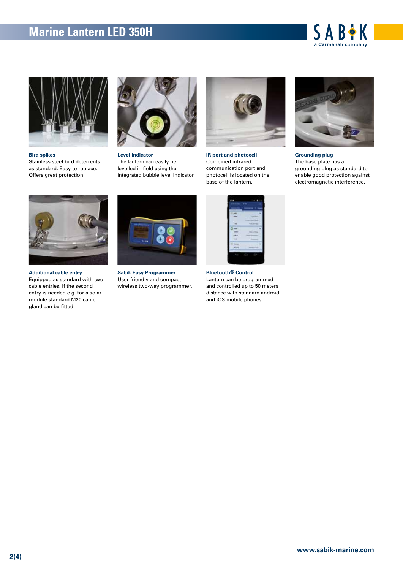# **Marine Lantern LED 350H**





**Bird spikes** 

Stainless steel bird deterrents as standard. Easy to replace. Offers great protection.



**Level indicator**  The lantern can easily be levelled in field using the integrated bubble level indicator.



**IR port and photocell**  Combined infrared communication port and photocell is located on the base of the lantern.



**Grounding plug**  The base plate has a grounding plug as standard to enable good protection against electromagnetic interference.



**Additional cable entry**  Equipped as standard with two cable entries. If the second entry is needed e.g. for a solar module standard M20 cable gland can be fitted.



**Sabik Easy Programmer** User friendly and compact wireless two-way programmer.



**Bluetooth® Control** Lantern can be programmed and controlled up to 50 meters distance with standard android and iOS mobile phones.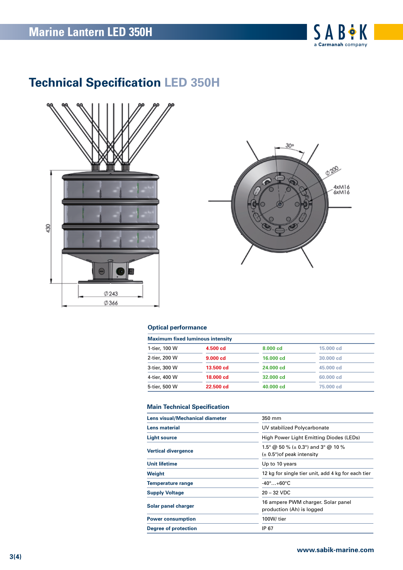

# **Technical Specification LED 350H**





### **Optical performance**

| <b>Maximum fixed luminous intensity</b> |           |           |           |  |
|-----------------------------------------|-----------|-----------|-----------|--|
| 1-tier, 100 W                           | 4.500 cd  | 8,000 cd  | 15.000 cd |  |
| 2-tier, 200 W                           | 9.000cd   | 16,000 cd | 30,000 cd |  |
| 3-tier, 300 W                           | 13.500 cd | 24,000 cd | 45.000 cd |  |
| 4-tier, 400 W                           | 18,000 cd | 32,000 cd | 60.000 cd |  |
| 5-tier, 500 W                           | 22.500 cd | 40,000 cd | 75,000 cd |  |

### **Main Technical Specification**

| Lens visual/Mechanical diameter | 350 mm                                                                           |  |  |
|---------------------------------|----------------------------------------------------------------------------------|--|--|
| Lens material                   | UV stabilized Polycarbonate                                                      |  |  |
| <b>Light source</b>             | High Power Light Emitting Diodes (LEDs)                                          |  |  |
| <b>Vertical divergence</b>      | 1.5° @ 50 % ( $\pm$ 0.3°) and 3° @ 10 %<br>$(\pm 0.5^{\circ})$ of peak intensity |  |  |
| Unit lifetime                   | Up to 10 years                                                                   |  |  |
| Weight                          | 12 kg for single tier unit, add 4 kg for each tier                               |  |  |
| <b>Temperature range</b>        | $-40^\circ$ +60°C                                                                |  |  |
| <b>Supply Voltage</b>           | $20 - 32$ VDC                                                                    |  |  |
| Solar panel charger             | 16 ampere PWM charger. Solar panel<br>production (Ah) is logged                  |  |  |
| <b>Power consumption</b>        | 100W/tier                                                                        |  |  |
| <b>Degree of protection</b>     | IP 67                                                                            |  |  |